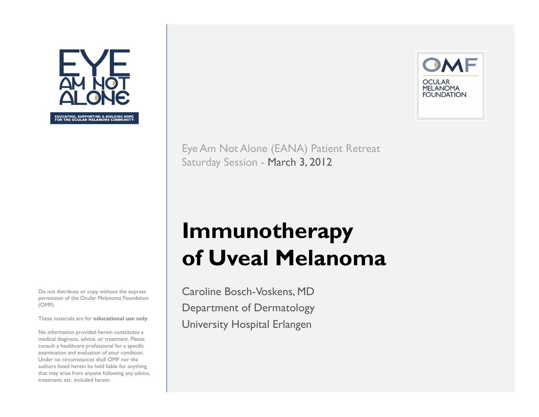

Do not distribute or copy without the express permission of the Ocular Melanoma Foundation (OMF).

These materials are for **educational use only**.

No information provided herein constitutes a medical diagnosis, advice, or treatment. Please consult a healthcare professional for a specific examination and evaluation of your condition. Under no circumstances shall OMF nor the authors listed herein be held liable for anything that may arise from anyone following any advice, treatment, etc. included herein.



Eye Am Not Alone (EANA) Patient Retreat Saturday Session - March 3, 2012

# **Immunotherapy of Uveal Melanoma**

Caroline Bosch-Voskens, MD Department of Dermatology University Hospital Erlangen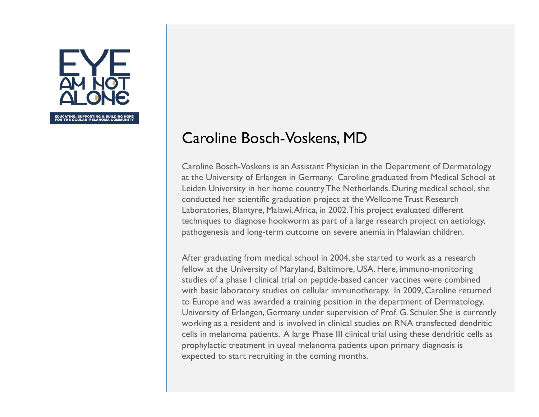

#### Caroline Bosch-Voskens, MD

Caroline Bosch-Voskens is an Assistant Physician in the Department of Dermatology at the University of Erlangen in Germany. Caroline graduated from Medical School at Leiden University in her home country The Netherlands. During medical school, she conducted her scientific graduation project at the Wellcome Trust Research Laboratories, Blantyre, Malawi, Africa, in 2002. This project evaluated different techniques to diagnose hookworm as part of a large research project on aetiology, pathogenesis and long-term outcome on severe anemia in Malawian children.

After graduating from medical school in 2004, she started to work as a research fellow at the University of Maryland, Baltimore, USA. Here, immuno-monitoring studies of a phase I clinical trial on peptide-based cancer vaccines were combined with basic laboratory studies on cellular immunotherapy. In 2009, Caroline returned to Europe and was awarded a training position in the department of Dermatology, University of Erlangen, Germany under supervision of Prof. G. Schuler. She is currently working as a resident and is involved in clinical studies on RNA transfected dendritic cells in melanoma patients. A large Phase III clinical trial using these dendritic cells as prophylactic treatment in uveal melanoma patients upon primary diagnosis is expected to start recruiting in the coming months.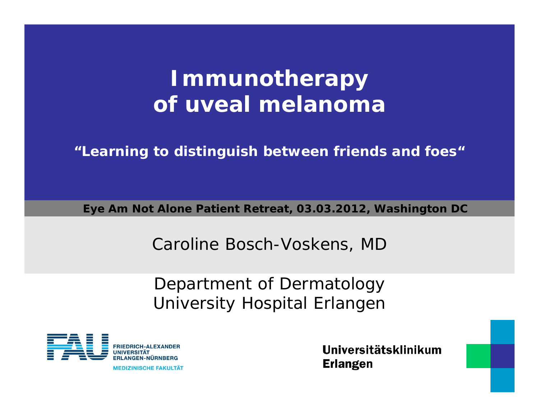# **Immunotherapy of uveal melanoma**

**"Learning to distinguish between friends and foes"**

**Eye Am Not Alone Patient Retreat, 03.03.2012, Washington DC**

Caroline Bosch-Voskens, MD

Department of Dermatology University Hospital Erlangen



**MEDIZINISCHE FAKULTÄT**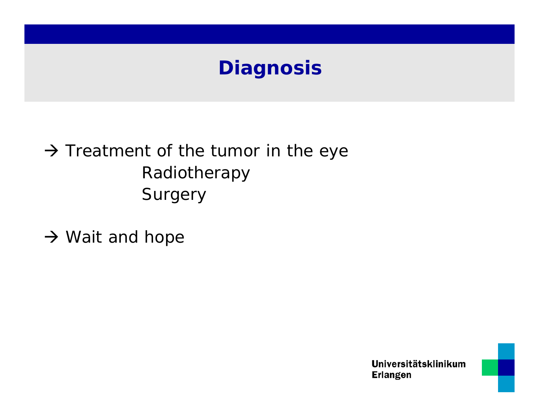## **Diagnosis**

#### $\rightarrow$  Treatment of the tumor in the eye Radiotherapy **Surgery**

 $\rightarrow$  Wait and hope



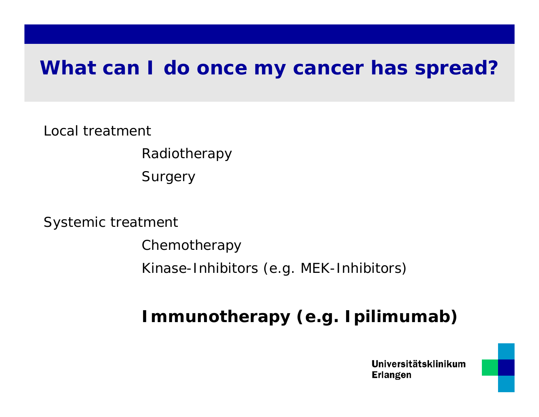#### **What can I do once my cancer has spread?**

Local treatment

Radiotherapy

**Surgery** 

Systemic treatment

Chemotherapy Kinase-Inhibitors (e.g. MEK-Inhibitors)

#### **Immunotherapy (e.g. Ipilimumab)**

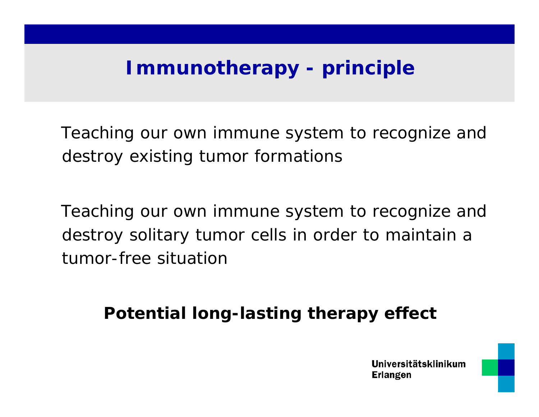## **Immunotherapy - principle**

Teaching our own immune system to recognize and destroy existing tumor formations

Teaching our own immune system to recognize and destroy solitary tumor cells in order to maintain a tumor-free situation

**Potential long-lasting therapy effect**

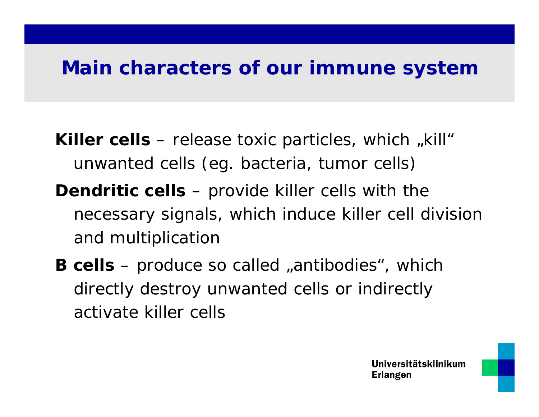#### **Main characters of our immune system**

**Killer cells** – release toxic particles, which "kill" unwanted cells (eg. bacteria, tumor cells)

- **Dendritic cells** provide killer cells with the necessary signals, which induce killer cell division and multiplication
- **B cells** produce so called "antibodies", which directly destroy unwanted cells or indirectly activate killer cells

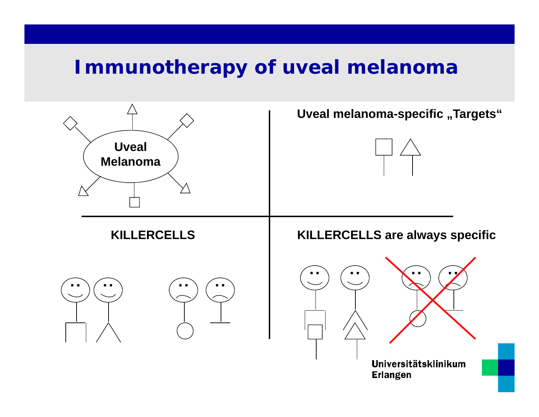#### **Immunotherapy of uveal melanoma**

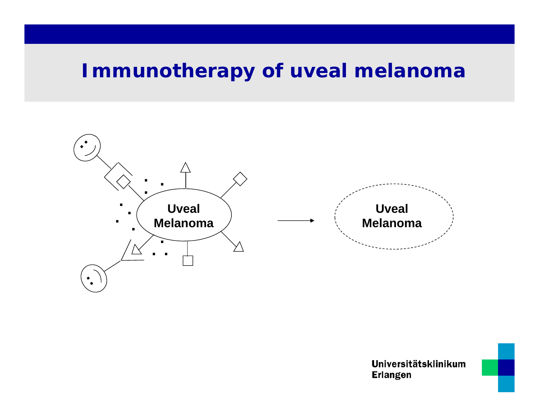#### **Immunotherapy of uveal melanoma**



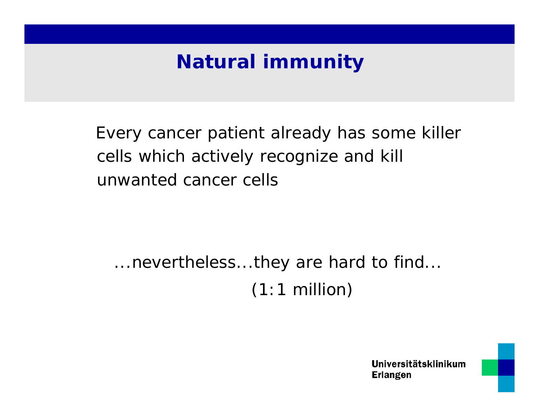## **Natural immunity**

Every cancer patient already has some killer cells which actively recognize and kill unwanted cancer cells

...nevertheless...they are hard to find...  $(1:1$  million)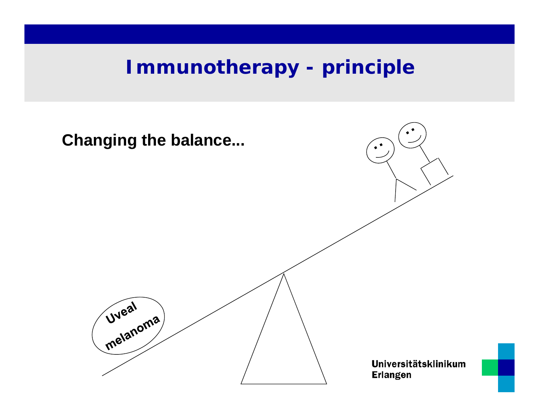#### **Immunotherapy - principle**

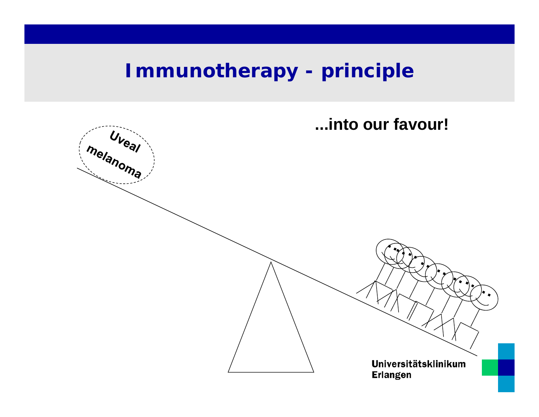## **Immunotherapy - principle**

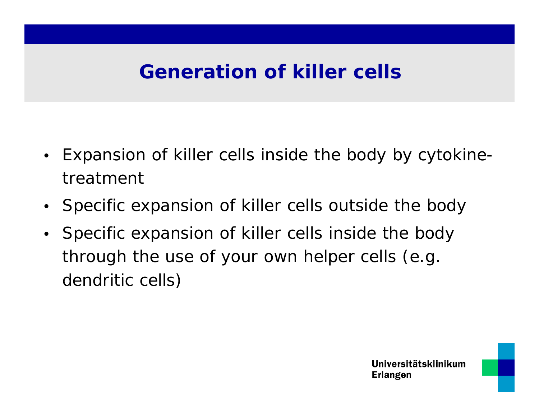## **Generation of killer cells**

- $\bullet$  Expansion of killer cells inside the body by cytokinetreatment
- Specific expansion of killer cells outside the body
- Specific expansion of killer cells inside the body through the use of your own helper cells (e.g. dendritic cells)

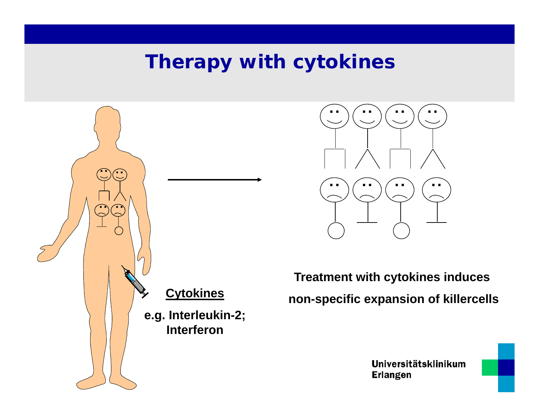#### **Therapy with cytokines**





**Treatment with cytokines induces non-specific expansion of killercells**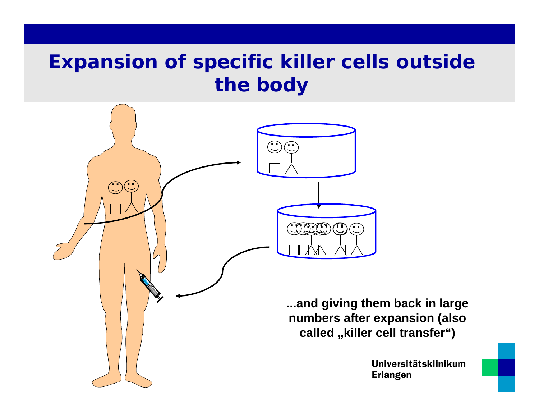## **Expansion of specific killer cells outside the body**

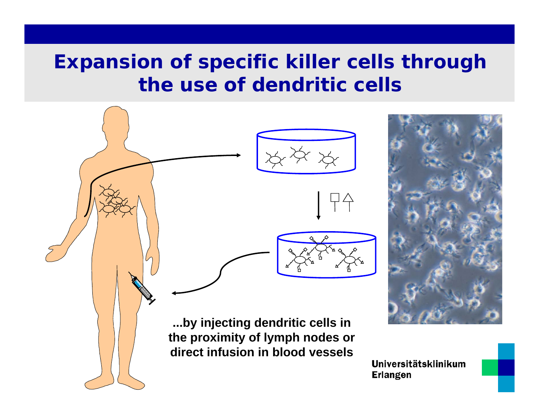## **Expansion of specific killer cells through the use of dendritic cells**

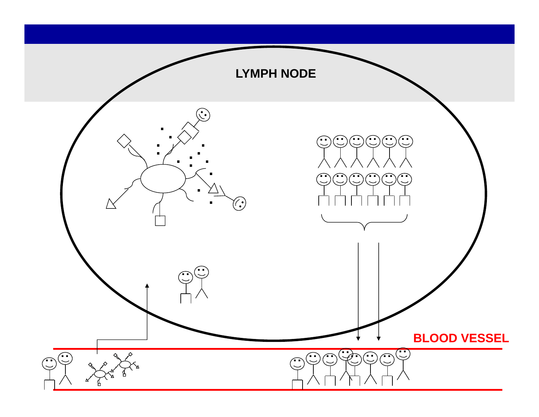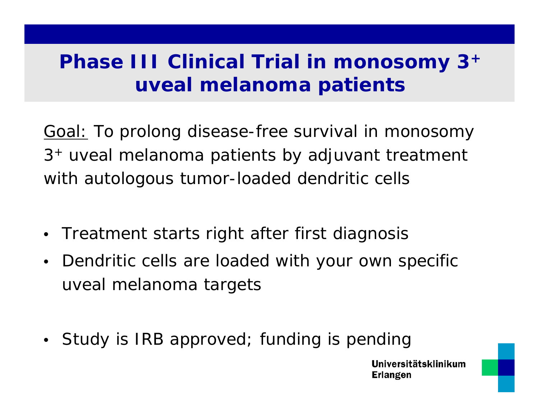## **Phase III Clinical Trial in monosomy 3 + uveal melanoma patients**

Goal: To prolong disease-free survival in monosomy 3 + uveal melanoma patients by adjuvant treatment with autologous tumor-loaded dendritic cells

- $\bullet$ Treatment starts right after first diagnosis
- $\bullet$  Dendritic cells are loaded with your own specific uveal melanoma targets
- Study is IRB approved; funding is pending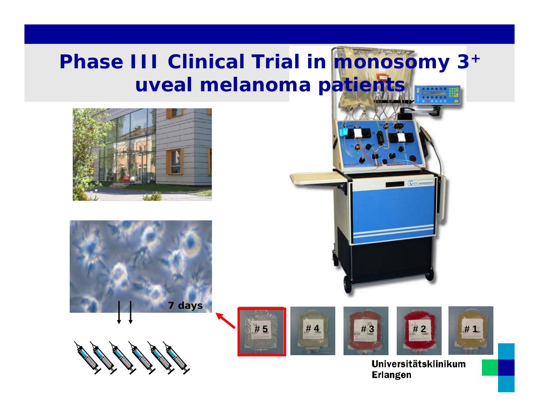# **Phase III Clinical Trial in monosomy 3+ uveal melanoma patients**











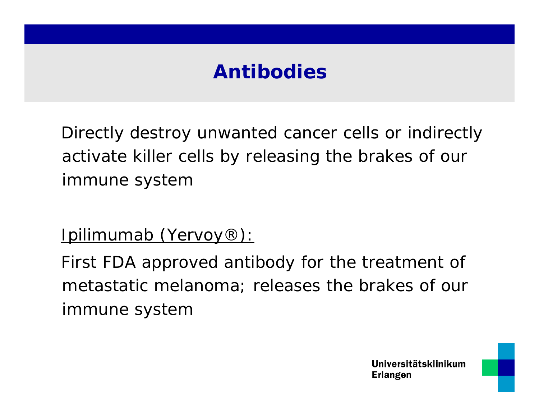## **Antibodies**

Directly destroy unwanted cancer cells or indirectly activate killer cells by releasing the brakes of our immune system

Ipilimumab (Yervoy®):

First FDA approved antibody for the treatment of metastatic melanoma; releases the brakes of our immune system

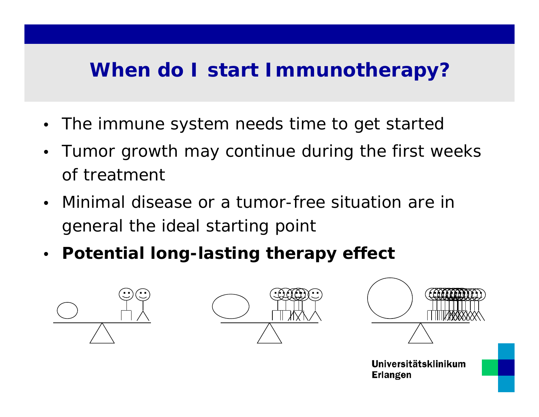## **When do I start Immunotherapy?**

- $\bullet~$  The immune system needs time to get startec
- • Tumor growth may continue during the first weeks of treatment
- $\bullet$  Minimal disease or a tumor-free situation are in general the ideal starting point
- **Potential long-lasting therapy effect**





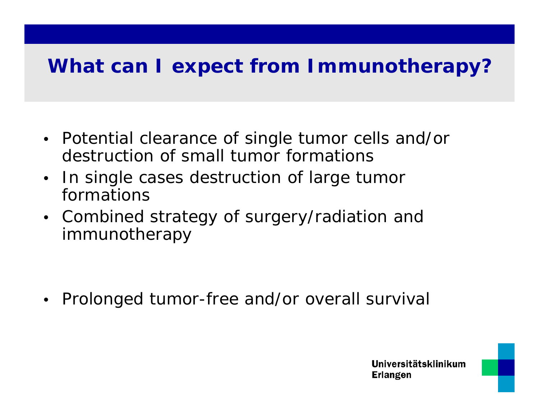## **What can I expect from Immunotherapy?**

- Potential clearance of single tumor cells and/or destruction of small tumor formations
- • In single cases destruction of large tumor formations
- Combined strategy of surgery/radiation and immunotherapy

•Prolonged tumor-free and/or overall survival

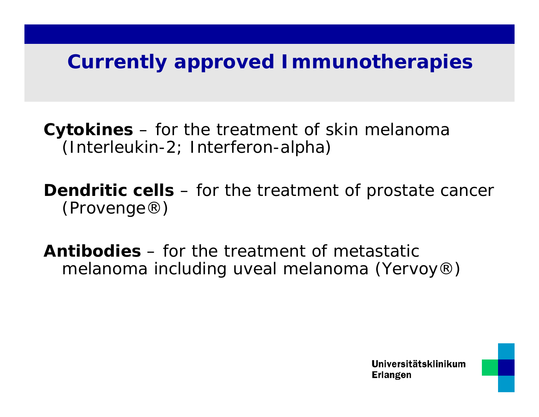#### **Currently approved Immunotherapies**

**Cytokines** – for the treatment of skin melanoma (Interleukin-2; Interferon-alpha)

**Dendritic cells** – for the treatment of prostate cancer (Provenge®)

**Antibodies** – for the treatment of metastatic melanoma including uveal melanoma (Yervoy®)

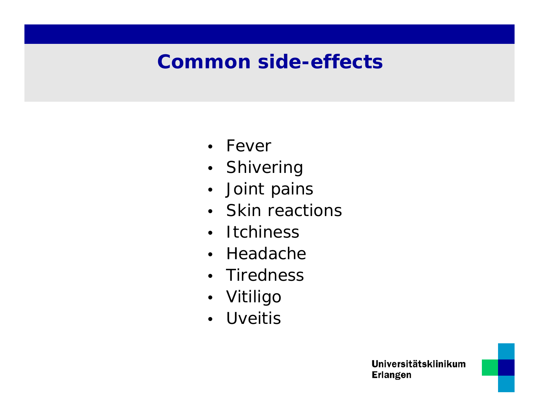## **Common side-effects**

- Fever
- Shivering
- Joint pains
- Skin reactions
- Itchiness
- Headache
- Tiredness
- Vitiligo
- Uveitis



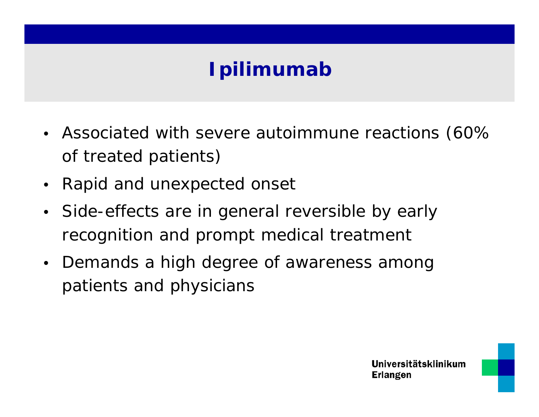## **Ipilimumab**

- Associated with severe autoimmune reactions (60% of treated patients)
- •Rapid and unexpected onset
- Side-effects are in general reversible by early recognition and prompt medical treatment
- Demands a high degree of awareness among patients and physicians

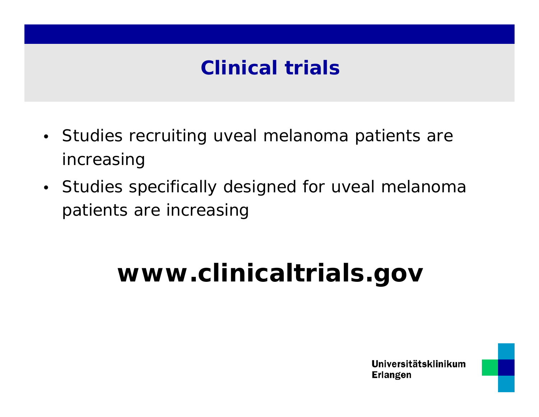## **Clinical trials**

- Studies recruiting uveal melanoma patients are increasing
- Studies specifically designed for uveal melanoma patients are increasing

# **www.clinicaltrials.gov**



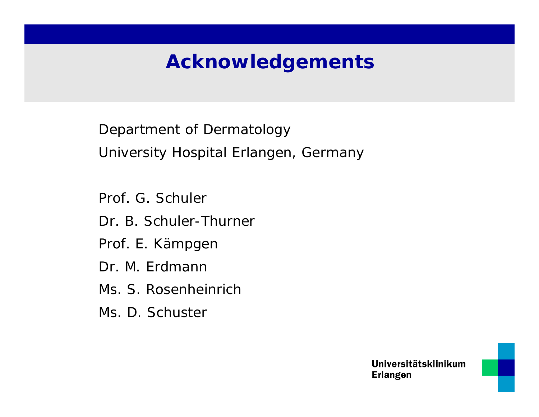## **Acknowledgements**

Department of Dermatology University Hospital Erlangen, Germany

Prof. G. Schuler

Dr. B. Schuler-Thurner

Prof. E. Kämpgen

Dr. M. Erdmann

Ms. S. Rosenheinrich

Ms. D. Schuster